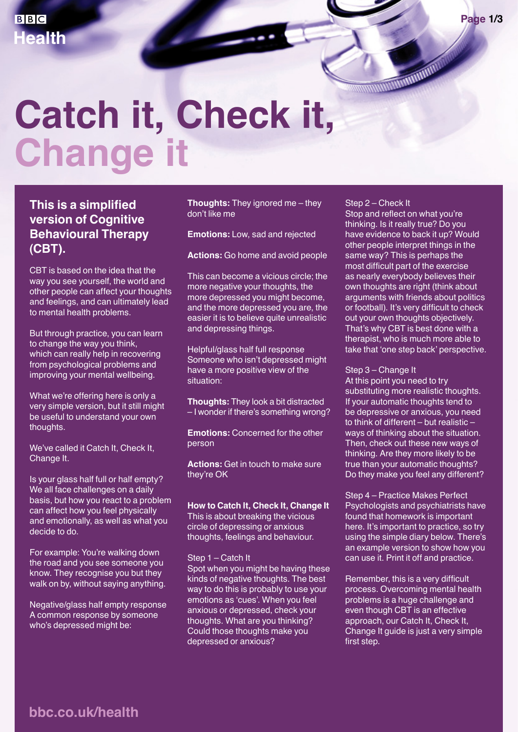# **Catch it, Check it, Change it**

### **This is a simplified version of Cognitive Behavioural Therapy (CBT).**

CBT is based on the idea that the way you see yourself, the world and other people can affect your thoughts and feelings, and can ultimately lead to mental health problems.

But through practice, you can learn to change the way you think, which can really help in recovering from psychological problems and improving your mental wellbeing.

What we're offering here is only a very simple version, but it still might be useful to understand your own thoughts.

We've called it Catch It, Check It, Change It.

Is your glass half full or half empty? We all face challenges on a daily basis, but how you react to a problem can affect how you feel physically and emotionally, as well as what you decide to do.

For example: You're walking down the road and you see someone you know. They recognise you but they walk on by, without saying anything.

Negative/glass half empty response A common response by someone who's depressed might be:

**Thoughts:** They ignored me – they don't like me

**Emotions:** Low, sad and rejected

**Actions:** Go home and avoid people

This can become a vicious circle; the more negative your thoughts, the more depressed you might become, and the more depressed you are, the easier it is to believe quite unrealistic and depressing things.

Helpful/glass half full response Someone who isn't depressed might have a more positive view of the situation:

**Thoughts:** They look a bit distracted – I wonder if there's something wrong?

**Emotions:** Concerned for the other person

**Actions:** Get in touch to make sure they're OK

**How to Catch It, Check It, Change It**

This is about breaking the vicious circle of depressing or anxious thoughts, feelings and behaviour.

Step 1 – Catch It

Spot when you might be having these kinds of negative thoughts. The best way to do this is probably to use your emotions as 'cues'. When you feel anxious or depressed, check your thoughts. What are you thinking? Could those thoughts make you depressed or anxious?

#### Step 2 – Check It

Stop and reflect on what you're thinking. Is it really true? Do you have evidence to back it up? Would other people interpret things in the same way? This is perhaps the most difficult part of the exercise as nearly everybody believes their own thoughts are right (think about arguments with friends about politics or football). It's very difficult to check out your own thoughts objectively. That's why CBT is best done with a therapist, who is much more able to take that 'one step back' perspective.

#### Step 3 – Change It

At this point you need to try substituting more realistic thoughts. If your automatic thoughts tend to be depressive or anxious, you need to think of different – but realistic – ways of thinking about the situation. Then, check out these new ways of thinking. Are they more likely to be true than your automatic thoughts? Do they make you feel any different?

Step 4 – Practice Makes Perfect Psychologists and psychiatrists have found that homework is important here. It's important to practice, so try using the simple diary below. There's an example version to show how you can use it. Print it off and practice.

Remember, this is a very difficult process. Overcoming mental health problems is a huge challenge and even though CBT is an effective approach, our Catch It, Check It, Change It guide is just a very simple first step.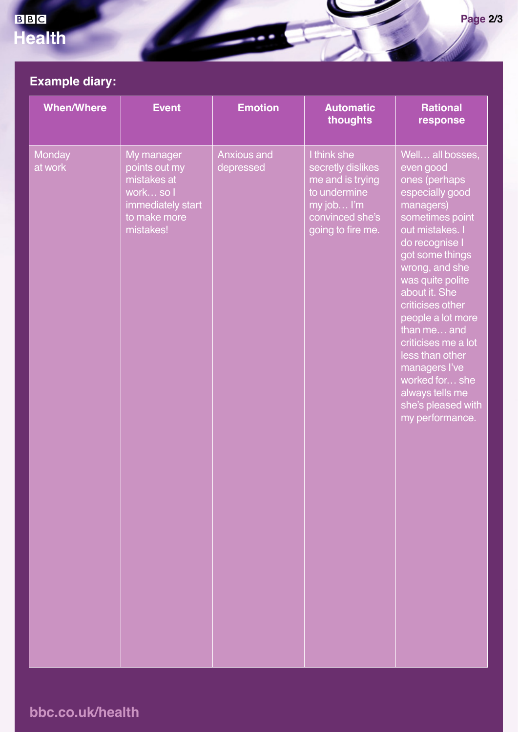# BBC **Health**

# **Example diary:**

| <b>When/Where</b> | <b>Event</b>                                                                                              | <b>Emotion</b>                  | <b>Automatic</b><br>thoughts                                                                                               | <b>Rational</b><br>response                                                                                                                                                                                                                                                                                                                                                                                       |
|-------------------|-----------------------------------------------------------------------------------------------------------|---------------------------------|----------------------------------------------------------------------------------------------------------------------------|-------------------------------------------------------------------------------------------------------------------------------------------------------------------------------------------------------------------------------------------------------------------------------------------------------------------------------------------------------------------------------------------------------------------|
| Monday<br>at work | My manager<br>points out my<br>mistakes at<br>work so I<br>immediately start<br>to make more<br>mistakes! | <b>Anxious and</b><br>depressed | I think she<br>secretly dislikes<br>me and is trying<br>to undermine<br>my job I'm<br>convinced she's<br>going to fire me. | Well all bosses,<br>even good<br>ones (perhaps<br>especially good<br>managers)<br>sometimes point<br>out mistakes. I<br>do recognise I<br>got some things<br>wrong, and she<br>was quite polite<br>about it. She<br>criticises other<br>people a lot more<br>than me and<br>criticises me a lot<br>less than other<br>managers l've<br>worked for she<br>always tells me<br>she's pleased with<br>my performance. |

# **bbc.co.uk/health**